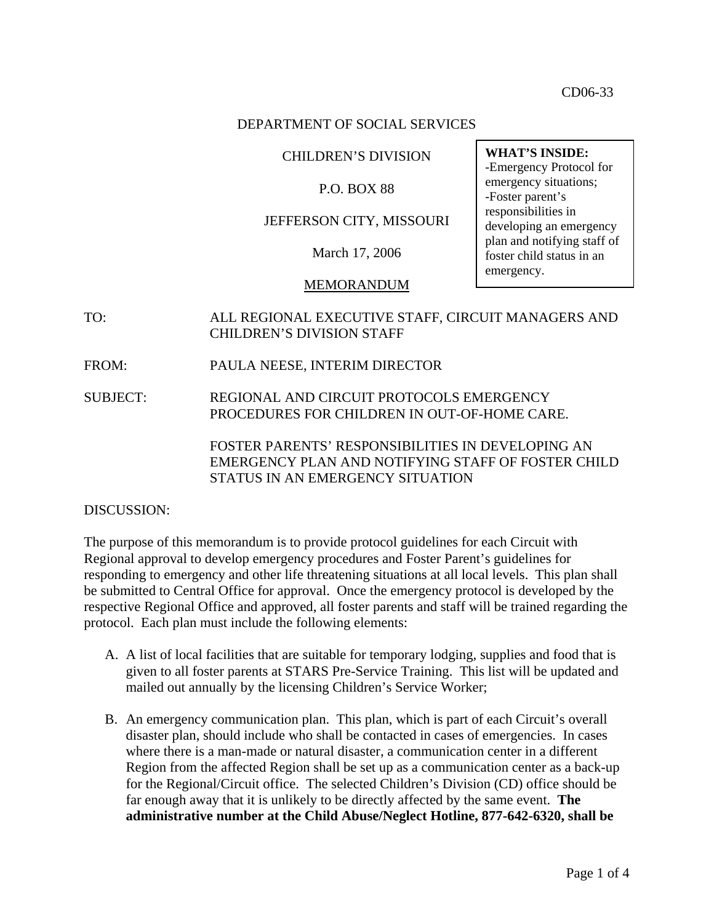CD06-33

### DEPARTMENT OF SOCIAL SERVICES

### CHILDREN'S DIVISION

### P.O. BOX 88

### JEFFERSON CITY, MISSOURI

March 17, 2006

### MEMORANDUM

- TO: ALL REGIONAL EXECUTIVE STAFF, CIRCUIT MANAGERS AND CHILDREN'S DIVISION STAFF
- FROM: PAULA NEESE, INTERIM DIRECTOR
- SUBJECT: REGIONAL AND CIRCUIT PROTOCOLS EMERGENCY PROCEDURES FOR CHILDREN IN OUT-OF-HOME CARE.

FOSTER PARENTS' RESPONSIBILITIES IN DEVELOPING AN EMERGENCY PLAN AND NOTIFYING STAFF OF FOSTER CHILD STATUS IN AN EMERGENCY SITUATION

#### DISCUSSION:

The purpose of this memorandum is to provide protocol guidelines for each Circuit with Regional approval to develop emergency procedures and Foster Parent's guidelines for responding to emergency and other life threatening situations at all local levels. This plan shall be submitted to Central Office for approval. Once the emergency protocol is developed by the respective Regional Office and approved, all foster parents and staff will be trained regarding the protocol. Each plan must include the following elements:

- A. A list of local facilities that are suitable for temporary lodging, supplies and food that is given to all foster parents at STARS Pre-Service Training. This list will be updated and mailed out annually by the licensing Children's Service Worker;
- B. An emergency communication plan. This plan, which is part of each Circuit's overall disaster plan, should include who shall be contacted in cases of emergencies. In cases where there is a man-made or natural disaster, a communication center in a different Region from the affected Region shall be set up as a communication center as a back-up for the Regional/Circuit office. The selected Children's Division (CD) office should be far enough away that it is unlikely to be directly affected by the same event. **The administrative number at the Child Abuse/Neglect Hotline, 877-642-6320, shall be**

**WHAT'S INSIDE:**  -Emergency Protocol for emergency situations; -Foster parent's responsibilities in developing an emergency plan and notifying staff of foster child status in an emergency.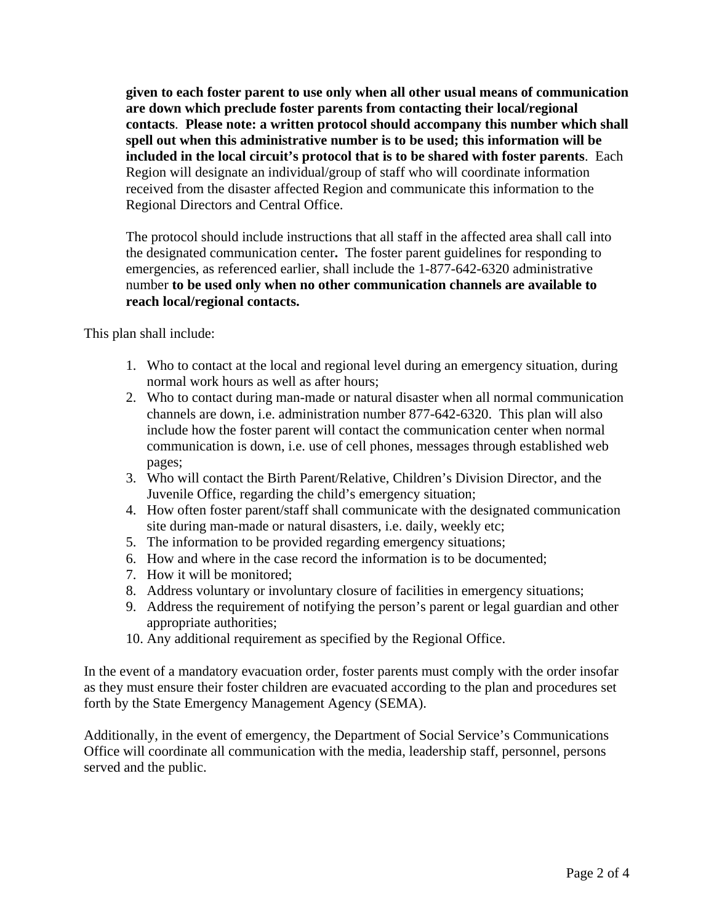**given to each foster parent to use only when all other usual means of communication are down which preclude foster parents from contacting their local/regional contacts**. **Please note: a written protocol should accompany this number which shall spell out when this administrative number is to be used; this information will be included in the local circuit's protocol that is to be shared with foster parents**. Each Region will designate an individual/group of staff who will coordinate information received from the disaster affected Region and communicate this information to the Regional Directors and Central Office.

The protocol should include instructions that all staff in the affected area shall call into the designated communication center**.** The foster parent guidelines for responding to emergencies, as referenced earlier, shall include the 1-877-642-6320 administrative number **to be used only when no other communication channels are available to reach local/regional contacts.**

This plan shall include:

- 1. Who to contact at the local and regional level during an emergency situation, during normal work hours as well as after hours;
- 2. Who to contact during man-made or natural disaster when all normal communication channels are down, i.e. administration number 877-642-6320. This plan will also include how the foster parent will contact the communication center when normal communication is down, i.e. use of cell phones, messages through established web pages;
- 3. Who will contact the Birth Parent/Relative, Children's Division Director, and the Juvenile Office, regarding the child's emergency situation;
- 4. How often foster parent/staff shall communicate with the designated communication site during man-made or natural disasters, i.e. daily, weekly etc;
- 5. The information to be provided regarding emergency situations;
- 6. How and where in the case record the information is to be documented;
- 7. How it will be monitored;
- 8. Address voluntary or involuntary closure of facilities in emergency situations;
- 9. Address the requirement of notifying the person's parent or legal guardian and other appropriate authorities;
- 10. Any additional requirement as specified by the Regional Office.

In the event of a mandatory evacuation order, foster parents must comply with the order insofar as they must ensure their foster children are evacuated according to the plan and procedures set forth by the State Emergency Management Agency (SEMA).

Additionally, in the event of emergency, the Department of Social Service's Communications Office will coordinate all communication with the media, leadership staff, personnel, persons served and the public.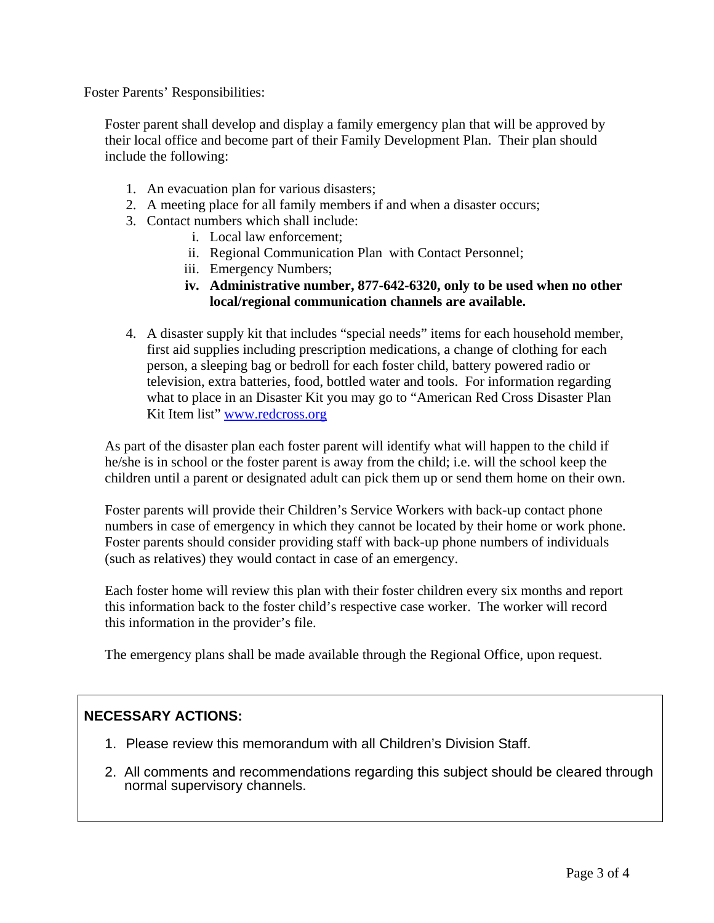Foster Parents' Responsibilities:

Foster parent shall develop and display a family emergency plan that will be approved by their local office and become part of their Family Development Plan. Their plan should include the following:

- 1. An evacuation plan for various disasters;
- 2. A meeting place for all family members if and when a disaster occurs;
- 3. Contact numbers which shall include:
	- i. Local law enforcement;
	- ii. Regional Communication Plan with Contact Personnel;
	- iii. Emergency Numbers;
	- **iv. Administrative number, 877-642-6320, only to be used when no other local/regional communication channels are available.**
- 4. A disaster supply kit that includes "special needs" items for each household member, first aid supplies including prescription medications, a change of clothing for each person, a sleeping bag or bedroll for each foster child, battery powered radio or television, extra batteries, food, bottled water and tools. For information regarding what to place in an Disaster Kit you may go to "American Red Cross Disaster Plan Kit Item list" [www.redcross.org](http://www.dss.mo.gov/cd/info/www.redcross.org)

As part of the disaster plan each foster parent will identify what will happen to the child if he/she is in school or the foster parent is away from the child; i.e. will the school keep the children until a parent or designated adult can pick them up or send them home on their own.

Foster parents will provide their Children's Service Workers with back-up contact phone numbers in case of emergency in which they cannot be located by their home or work phone. Foster parents should consider providing staff with back-up phone numbers of individuals (such as relatives) they would contact in case of an emergency.

Each foster home will review this plan with their foster children every six months and report this information back to the foster child's respective case worker. The worker will record this information in the provider's file.

The emergency plans shall be made available through the Regional Office, upon request.

## **NECESSARY ACTIONS:**

- 1. Please review this memorandum with all Children's Division Staff.
- 2. All comments and recommendations regarding this subject should be cleared through normal supervisory channels.